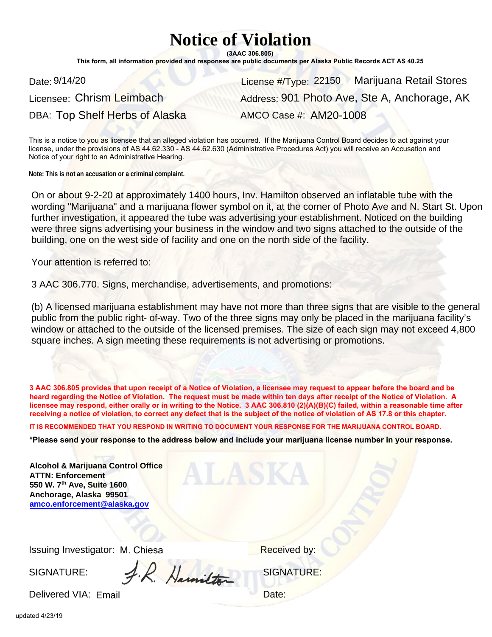## **Notice of Violation**

**(3AAC 306.805)**

**This form, all information provided and responses are public documents per Alaska Public Records ACT AS 40.25**

Date: 9/14/20 **Date: 9/14/20** Marijuana Retail Stores DBA: Top Shelf Herbs of Alaska AMCO Case #: AM20-1008 Address: 901 Photo Ave, Ste A, Anchorage, AK

This is a notice to you as licensee that an alleged violation has occurred. If the Marijuana Control Board decides to act against your license, under the provisions of AS 44.62.330 - AS 44.62.630 (Administrative Procedures Act) you will receive an Accusation and Notice of your right to an Administrative Hearing.

On or about 9-2-20 at approximately 1400 hours, Inv. Hamilton observed an inflatable tube with the wording "Marijuana" and a marijuana flower symbol on it, at the corner of Photo Ave and N. Start St. Upon further investigation, it appeared the tube was advertising your establishment. Noticed on the building were three signs advertising your business in the window and two signs attached to the outside of the building, one on the west side of facility and one on the north side of the facility.

(b) A licensed marijuana establishment may have not more than three signs that are visible to the general public from the public right- of-way. Two of the three signs may only be placed in the marijuana facility's window or attached to the outside of the licensed premises. The size of each sign may not exceed 4,800 square inches. A sign meeting these requirements is not advertising or promotions.

**3 AAC 306.805 provides that upon receipt of a Notice of Violation, a licensee may request to appear before the board and be heard regarding the Notice of Violation. The request must be made within ten days after receipt of the Notice of Violation. A licensee may respond, either orally or in writing to the Notice. 3 AAC 306.810 (2)(A)(B)(C) failed, within a reasonable time after receiving a notice of violation, to correct any defect that is the subject of the notice of violation of AS 17.8 or this chapter.** 

**IT IS RECOMMENDED THAT YOU RESPOND IN WRITING TO DOCUMENT YOUR RESPONSE FOR THE MARIJUANA CONTROL BOARD.**

**\*Please send your response to the address below and include your marijuana license number in your response.**

| Date: 9/14/20                                                                                                                                                     | License #/Type: 22150 Marijuana R                                                                                                                                                                                                                                                                                                                                                                                                                                                 |
|-------------------------------------------------------------------------------------------------------------------------------------------------------------------|-----------------------------------------------------------------------------------------------------------------------------------------------------------------------------------------------------------------------------------------------------------------------------------------------------------------------------------------------------------------------------------------------------------------------------------------------------------------------------------|
| Licensee: Chrism Leimbach                                                                                                                                         | Address: 901 Photo Ave, Ste A, And                                                                                                                                                                                                                                                                                                                                                                                                                                                |
| DBA: Top Shelf Herbs of Alaska                                                                                                                                    | AMCO Case #: AM20-1008                                                                                                                                                                                                                                                                                                                                                                                                                                                            |
| Notice of your right to an Administrative Hearing.                                                                                                                | This is a notice to you as licensee that an alleged violation has occurred. If the Marijuana Control Board decides to act<br>license, under the provisions of AS 44.62.330 - AS 44.62.630 (Administrative Procedures Act) you will receive an Accus                                                                                                                                                                                                                               |
| Note: This is not an accusation or a criminal complaint.                                                                                                          |                                                                                                                                                                                                                                                                                                                                                                                                                                                                                   |
| building, one on the west side of facility and one on the north side of the facility.                                                                             | On or about 9-2-20 at approximately 1400 hours, Inv. Hamilton observed an inflatable tub<br>wording "Marijuana" and a marijuana flower symbol on it, at the corner of Photo Ave and<br>further investigation, it appeared the tube was advertising your establishment. Noticed on<br>were three signs advertising your business in the window and two signs attached to the o                                                                                                     |
| Your attention is referred to:                                                                                                                                    |                                                                                                                                                                                                                                                                                                                                                                                                                                                                                   |
| 3 AAC 306.770. Signs, merchandise, advertisements, and promotions:                                                                                                |                                                                                                                                                                                                                                                                                                                                                                                                                                                                                   |
|                                                                                                                                                                   | (b) A licensed marijuana establishment may have not more than three signs that are visible<br>public from the public right- of-way. Two of the three signs may only be placed in the mar<br>window or attached to the outside of the licensed premises. The size of each sign may no<br>square inches. A sign meeting these requirements is not advertising or promotions.                                                                                                        |
|                                                                                                                                                                   | 3 AAC 306.805 provides that upon receipt of a Notice of Violation, a licensee may request to appear before the<br>heard regarding the Notice of Violation. The request must be made within ten days after receipt of the Notice o<br>licensee may respond, either orally or in writing to the Notice. 3 AAC 306.810 (2)(A)(B)(C) failed, within a reaso<br>receiving a notice of violation, to correct any defect that is the subject of the notice of violation of AS 17.8 or th |
|                                                                                                                                                                   | IT IS RECOMMENDED THAT YOU RESPOND IN WRITING TO DOCUMENT YOUR RESPONSE FOR THE MARIJUANA CONTRO                                                                                                                                                                                                                                                                                                                                                                                  |
|                                                                                                                                                                   | *Please send your response to the address below and include your marijuana license number in you                                                                                                                                                                                                                                                                                                                                                                                  |
| <b>Alcohol &amp; Marijuana Control Office</b><br><b>ATTN: Enforcement</b><br>550 W. 7th Ave, Suite 1600<br>Anchorage, Alaska 99501<br>amco.enforcement@alaska.gov | ALASKA                                                                                                                                                                                                                                                                                                                                                                                                                                                                            |
|                                                                                                                                                                   |                                                                                                                                                                                                                                                                                                                                                                                                                                                                                   |
| Issuing Investigator: M. Chiesa                                                                                                                                   | Received by:                                                                                                                                                                                                                                                                                                                                                                                                                                                                      |
| 1. R. Hamilton<br>SIGNATURE:                                                                                                                                      | <b>SIGNATURE:</b>                                                                                                                                                                                                                                                                                                                                                                                                                                                                 |
| Delivered VIA: Email                                                                                                                                              | Date:                                                                                                                                                                                                                                                                                                                                                                                                                                                                             |

SIGNATURE: SIGNATURE:

Delivered VIA: Email **Delivered VIA:** Email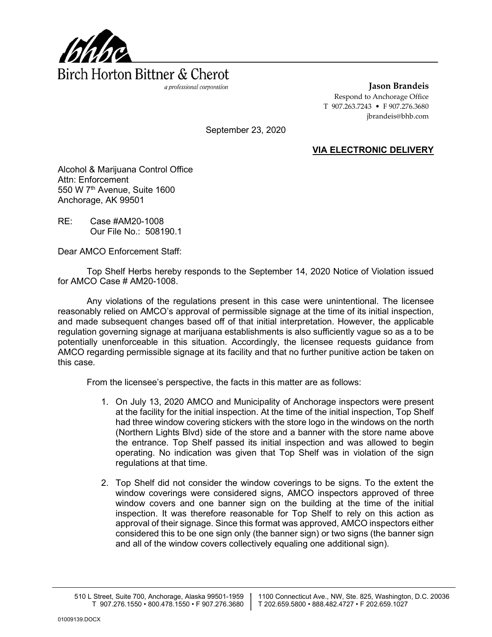

**Jason Brandeis** Respond to Anchorage Office T 907.263.7243 • F 907.276.3680 jbrandeis@bhb.com

September 23, 2020

## **VIA ELECTRONIC DELIVERY**

Alcohol & Marijuana Control Office Attn: Enforcement 550 W 7<sup>th</sup> Avenue, Suite 1600 Anchorage, AK 99501

RE: Case #AM20-1008 Our File No.: 508190.1

Dear AMCO Enforcement Staff:

Top Shelf Herbs hereby responds to the September 14, 2020 Notice of Violation issued for AMCO Case # AM20-1008.

Any violations of the regulations present in this case were unintentional. The licensee reasonably relied on AMCO's approval of permissible signage at the time of its initial inspection, and made subsequent changes based off of that initial interpretation. However, the applicable regulation governing signage at marijuana establishments is also sufficiently vague so as a to be potentially unenforceable in this situation. Accordingly, the licensee requests guidance from AMCO regarding permissible signage at its facility and that no further punitive action be taken on this case.

From the licensee's perspective, the facts in this matter are as follows:

- 1. On July 13, 2020 AMCO and Municipality of Anchorage inspectors were present at the facility for the initial inspection. At the time of the initial inspection, Top Shelf had three window covering stickers with the store logo in the windows on the north (Northern Lights Blvd) side of the store and a banner with the store name above the entrance. Top Shelf passed its initial inspection and was allowed to begin operating. No indication was given that Top Shelf was in violation of the sign regulations at that time.
- 2. Top Shelf did not consider the window coverings to be signs. To the extent the window coverings were considered signs, AMCO inspectors approved of three window covers and one banner sign on the building at the time of the initial inspection. It was therefore reasonable for Top Shelf to rely on this action as approval of their signage. Since this format was approved, AMCO inspectors either considered this to be one sign only (the banner sign) or two signs (the banner sign and all of the window covers collectively equaling one additional sign).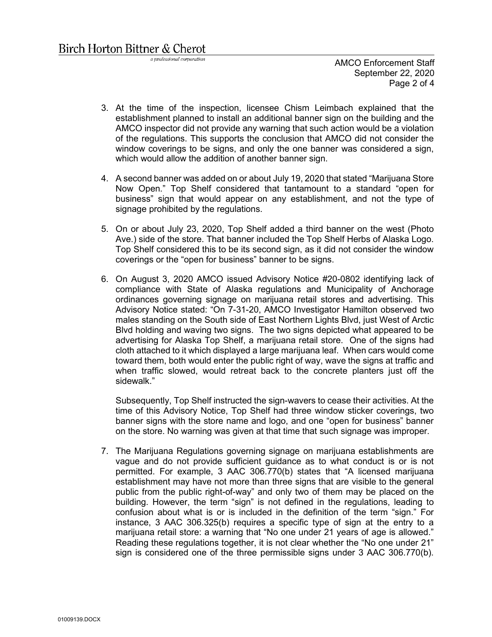a professional corporation

AMCO Enforcement Staff September 22, 2020 Page 2 of 4

- 3. At the time of the inspection, licensee Chism Leimbach explained that the establishment planned to install an additional banner sign on the building and the AMCO inspector did not provide any warning that such action would be a violation of the regulations. This supports the conclusion that AMCO did not consider the window coverings to be signs, and only the one banner was considered a sign, which would allow the addition of another banner sign.
- 4. A second banner was added on or about July 19, 2020 that stated "Marijuana Store Now Open." Top Shelf considered that tantamount to a standard "open for business" sign that would appear on any establishment, and not the type of signage prohibited by the regulations.
- 5. On or about July 23, 2020, Top Shelf added a third banner on the west (Photo Ave.) side of the store. That banner included the Top Shelf Herbs of Alaska Logo. Top Shelf considered this to be its second sign, as it did not consider the window coverings or the "open for business" banner to be signs.
- 6. On August 3, 2020 AMCO issued Advisory Notice #20-0802 identifying lack of compliance with State of Alaska regulations and Municipality of Anchorage ordinances governing signage on marijuana retail stores and advertising. This Advisory Notice stated: "On 7-31-20, AMCO Investigator Hamilton observed two males standing on the South side of East Northern Lights Blvd, just West of Arctic Blvd holding and waving two signs. The two signs depicted what appeared to be advertising for Alaska Top Shelf, a marijuana retail store. One of the signs had cloth attached to it which displayed a large marijuana leaf. When cars would come toward them, both would enter the public right of way, wave the signs at traffic and when traffic slowed, would retreat back to the concrete planters just off the sidewalk."

Subsequently, Top Shelf instructed the sign-wavers to cease their activities. At the time of this Advisory Notice, Top Shelf had three window sticker coverings, two banner signs with the store name and logo, and one "open for business" banner on the store. No warning was given at that time that such signage was improper.

7. The Marijuana Regulations governing signage on marijuana establishments are vague and do not provide sufficient guidance as to what conduct is or is not permitted. For example, 3 AAC 306.770(b) states that "A licensed marijuana establishment may have not more than three signs that are visible to the general public from the public right-of-way" and only two of them may be placed on the building. However, the term "sign" is not defined in the regulations, leading to confusion about what is or is included in the definition of the term "sign." For instance, 3 AAC 306.325(b) requires a specific type of sign at the entry to a marijuana retail store: a warning that "No one under 21 years of age is allowed." Reading these regulations together, it is not clear whether the "No one under 21" sign is considered one of the three permissible signs under 3 AAC 306.770(b).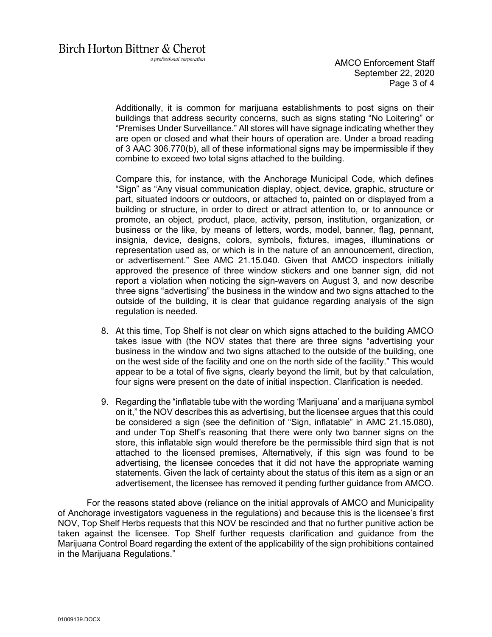a professional corporation

AMCO Enforcement Staff September 22, 2020 Page 3 of 4

Additionally, it is common for marijuana establishments to post signs on their buildings that address security concerns, such as signs stating "No Loitering" or "Premises Under Surveillance." All stores will have signage indicating whether they are open or closed and what their hours of operation are. Under a broad reading of 3 AAC 306.770(b), all of these informational signs may be impermissible if they combine to exceed two total signs attached to the building.

Compare this, for instance, with the Anchorage Municipal Code, which defines "Sign" as "Any visual communication display, object, device, graphic, structure or part, situated indoors or outdoors, or attached to, painted on or displayed from a building or structure, in order to direct or attract attention to, or to announce or promote, an object, product, place, activity, person, institution, organization, or business or the like, by means of letters, words, model, banner, flag, pennant, insignia, device, designs, colors, symbols, fixtures, images, illuminations or representation used as, or which is in the nature of an announcement, direction, or advertisement." See AMC 21.15.040. Given that AMCO inspectors initially approved the presence of three window stickers and one banner sign, did not report a violation when noticing the sign-wavers on August 3, and now describe three signs "advertising" the business in the window and two signs attached to the outside of the building, it is clear that guidance regarding analysis of the sign regulation is needed.

- 8. At this time, Top Shelf is not clear on which signs attached to the building AMCO takes issue with (the NOV states that there are three signs "advertising your business in the window and two signs attached to the outside of the building, one on the west side of the facility and one on the north side of the facility." This would appear to be a total of five signs, clearly beyond the limit, but by that calculation, four signs were present on the date of initial inspection. Clarification is needed.
- 9. Regarding the "inflatable tube with the wording 'Marijuana' and a marijuana symbol on it," the NOV describes this as advertising, but the licensee argues that this could be considered a sign (see the definition of "Sign, inflatable" in AMC 21.15.080), and under Top Shelf's reasoning that there were only two banner signs on the store, this inflatable sign would therefore be the permissible third sign that is not attached to the licensed premises, Alternatively, if this sign was found to be advertising, the licensee concedes that it did not have the appropriate warning statements. Given the lack of certainty about the status of this item as a sign or an advertisement, the licensee has removed it pending further guidance from AMCO.

For the reasons stated above (reliance on the initial approvals of AMCO and Municipality of Anchorage investigators vagueness in the regulations) and because this is the licensee's first NOV, Top Shelf Herbs requests that this NOV be rescinded and that no further punitive action be taken against the licensee. Top Shelf further requests clarification and guidance from the Marijuana Control Board regarding the extent of the applicability of the sign prohibitions contained in the Marijuana Regulations."